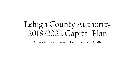# Lehigh County Authority 2018-2022 Capital Plan

**Final Plan:** Board Presentation – October 23, 2017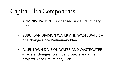### Capital Plan Components

- ADMINISTRATION unchanged since Preliminary Plan
- SUBURBAN DIVISION WATER AND WASTEWATER one change since Preliminary Plan
- ALLENTOWN DIVISION WATER AND WASTEWATER – several changes to annual projects and other projects since Preliminary Plan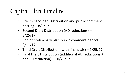### Capital Plan Timeline

- Preliminary Plan Distribution and public comment posting  $-8/9/17$
- Second Draft Distribution (AD reductions) 8/25/17
- End of preliminary plan public comment period -9/11/17
- Third Draft Distribution (with financials) 9/25/17
- Final Draft Distribution (additional AD reductions + one SD reduction) – 10/23/17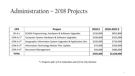#### Administration – 2018 Projects

| CP#          | <b>Project</b>                                            | 2018 \$   | 2018-2022\$ |
|--------------|-----------------------------------------------------------|-----------|-------------|
| $SD-A-1$     | SCADA Programming, Hardware & Software Upgrades           | \$150,000 | \$853,800   |
| $CON-A-1*$   | Computer System Hardware & Software Upgrades              | \$100,000 | \$325,000   |
| $CON-A-2*$   | Geographic Information System Upgrades & Application Dev. | \$220,000 | \$720,000   |
| $CON-A-3*$   | Information Technology Master Plan Update                 | \$75,000  | \$250,000   |
| $CON-A-4*$   | <b>Document Management</b>                                | \$50,000  | \$480,000   |
| <b>TOTAL</b> |                                                           | \$595,000 | \$2,628,000 |

*\*= Projects split 1/3 to Suburban and 2/3 to City Division*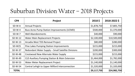#### Suburban Division Water – 2018 Projects

| CP#          | Project                                                   | 2018 \$     | 2018-2022\$  |
|--------------|-----------------------------------------------------------|-------------|--------------|
| SD-W-A       | <b>Annual Projects</b>                                    | \$1,878,750 | \$7,805,750  |
| $SD-W-4$     | <b>Buss Acres Pump Station Improvements (UCMD)</b>        | \$500,000   | \$1,370,000  |
| $SD-W-7$     | <b>Well Abandonments</b>                                  | \$40,000    | \$90,000     |
| $SD-W-12$    | <b>Water Main Replacement Projects</b>                    | \$2,100,000 | \$10,500,000 |
| $SD-W-13$    | Arcadia West TDS Removal Project                          | \$80,000    | \$280,000    |
| $SD-W25$     | <b>Pine Lakes Pumping Station Improvements</b>            | \$215,000   | \$215,000    |
| $SD-W-37$    | Redundant Water Supply - Small Satellite Divisions        | \$200,000   | \$300,000    |
| $SD-W-48$    | Crestwood New Alternate Water Supply                      | \$215,000   | \$215,000    |
| $SD-W-49$    | <b>CLD Auxiliary Pumping Station &amp; Main Extension</b> | \$1,464,000 | \$1,782,000  |
| $SD-W-53$    | Water Meter Replacement Project                           | \$1,140,000 | \$1,140,000  |
| $SD-W-54$    | Central Lehigh to Upper Milford Interconnection           | \$1,320,000 | \$1,320,000  |
| <b>TOTAL</b> |                                                           | \$9,117,750 | \$24,982,750 |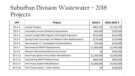#### Suburban Division Wastewater – 2018 Projects

| CP#       | Project                                                | 2018\$          | 2018-2022\$ |
|-----------|--------------------------------------------------------|-----------------|-------------|
| $SD-S-A$  | <b>Annual Projects</b>                                 | \$865,750       | \$2,146,750 |
| $SD-S-2$  | <b>Interceptor Access Easement Acquisitions</b>        | \$60,000        | \$330,000   |
| $SD-S-3$  | Central Lehigh WW Capacity Planning & Expansion        | \$315,000       | \$615,000   |
| $SD-S-4$  | Spring Creek Force Main Air Release Valve Replacements | \$170,000       | \$170,000   |
| $SD-S-6$  | Wynnewood I / I Investigation & Remediation            | \$20,000        | \$230,000   |
| $SD-S-7$  | Wynnewood WWTP Replacement                             | \$1,000,000     | \$1,400,000 |
| $SD-S-8$  | Western Weisenberg Mechanical Screen                   | 50 <sub>l</sub> | \$340,000   |
| $SD-S-12$ | Park Pump Station Force Main Rehabilitation            | \$1,500,000     | \$2,500,000 |
| $SD-S-13$ | Sand Spring WWTP Replacement                           | \$800,000       | \$600,000   |
| $SD-S-15$ | Park Pump Station Rehabilitation                       | \$3,000,000     | \$4,460,000 |
| $SD-S-16$ | Park Pump Station - Sister Station                     | \$0             | \$180,000   |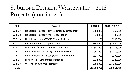#### Suburban Division Wastewater – 2018 Projects (continued)

| CP#          | Project                                              | 2018\$           | 2018-2022-\$ |
|--------------|------------------------------------------------------|------------------|--------------|
| $SD-S-17$    | Heidelberg Heights I / I Investigation & Remediation | \$200,000        | \$365,000    |
| $SD-S-18$    | Heidelberg Heights WWTP Rehabilitation               | \$30,000         | \$430,000    |
| $SD-S-19$    | Heidelberg Heights WWTP Mechanical Screen            | \$0 <sub>l</sub> | \$340,000    |
| $SD-S-22$    | <b>Pretreatment Plant Improvements</b>               | \$800,000        | \$4,000,000  |
| $SD-S-24$    | Signatory I / I Investigation & Remediation          | \$1,585,000      | \$3,755,000  |
| $SD-S-25$    | Lynn Township WWTP Upgrades & Expansion              | \$606,000        | \$4,468,000  |
| $SD-S-26$    | Lynn Township I / I Investigation & Remediation      | \$125,000        | \$290,000    |
| $SD-S-27$    | <b>Spring Creek Pump Station Upgrades</b>            | \$222,000        | \$222,000    |
| $SD-S-28$    | WLI Trexlertown Area Interceptor                     | \$300,000        | \$12,300,000 |
| <b>TOTAL</b> |                                                      | \$11,598,750     | \$39,961,750 |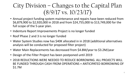#### City Division – Changes to the Capital Plan (8/9/17 vs. 10/23/17)

- Annual project funding system maintenance and repairs have been reduced from \$6,879,900 to \$2,920,000 in 2018 and from \$24,755,000 to \$13,749,000 for the full scope of the 5-year plan.
- Indenture Report Improvements Project is no longer funded
- Roof Phase 2 and 3 is no longer funded
- Water System Studies now has \$40K allocated in in 2018 (additional alternatives analysis will be conducted for proposed filter project)
- Water Main Replacements has decreased from \$4.8M/year to \$3.2M/year
- Design of the Filter Project has been postponed until 2019
- 2018 REDUCTIONS WERE NEEDED TO REDUCE BORROWING. ALL PROJECTS WILL BE FUNDED THROUGH CASH FROM OPERATIONS + ANTICIPATED BORROWING OF \$1.7M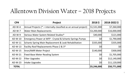#### Allentown Division Water – 2018 Projects

| CP#          | Project                                                             | 2018\$          | 2018-2022\$      |
|--------------|---------------------------------------------------------------------|-----------------|------------------|
| AD-W-A       | Annual Projects ( $* =$ internally classified as an annual project) | \$1,531,000     | \$7,260,000      |
| $AD-W-7$     | <b>Water Main Replacements</b>                                      | \$3,200,000     | \$16,000,000     |
| $AD-W-9$     | Various Water System Related Studies*                               | \$40,000        | \$121,000        |
| AD-W-10      | Emergency Power at WFP - Crystal & Schantz Springs Pumps            | 50 <sub>l</sub> | \$1,790,000      |
| AD-W-11      | Schantz Spring Main Replacement & Leak Rehabilitation               | \$335,000       | \$335,000        |
| $AD-W-13$    | Facility Roof Replacements Phase 2 & 3*                             | 50 <sub>l</sub> | \$0 <sub>l</sub> |
| AD-W-15      | Itron/AMR Meter Project                                             | \$140,000       | \$300,000        |
| $AD-W-21$    | <b>Fixed-Base Meter Reading System</b>                              | \$0             | \$1,705,000      |
| $AD-W-22$    | <b>Filter Upgrades</b>                                              | 50 <sub>l</sub> | \$12,140,000     |
| $AD-W-23$    | Intake Upgrades                                                     | \$0             | \$11,120,000     |
| <b>TOTAL</b> |                                                                     | \$5,246,000     | \$50,771,000     |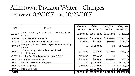#### Allentown Division Water – Changes between 8/9/2017 and 10/23/2017

| CP#          | Project                                                                    | 8/9/2017<br>2018\$ | 8/9/2017<br>2018-2022\$ | 10/23/2017<br>2018\$     | 10/23/2017<br>2018-2022\$ |
|--------------|----------------------------------------------------------------------------|--------------------|-------------------------|--------------------------|---------------------------|
| AD-W-A       | Annual Projects (* = internally classified as an annual<br>project)        | \$2,609,900        | \$10,342,500            | \$1,531,000              | \$7,260,000               |
| $AD-W-7$     | <b>Water Main Replacements</b>                                             | \$4,800,000        | \$24,000,000            | \$3,200,000              | \$16,000,000              |
| $AD-W-9$     | Various Water System Related Studies*                                      | \$45,000           | \$225,000               | \$40,000                 | \$121,000                 |
| AD-W-10      | Emergency Power at WFP - Crystal & Schantz Springs<br>Pumps                | 50 <sub>l</sub>    | \$1,790,000             | \$0                      | \$1,790,000               |
| AD-W-11      | <b>Schantz Spring Main Replacement &amp; Leak</b><br><b>Rehabilitation</b> | \$335,000          | \$335,000               | \$335,000                | \$335,000                 |
| $AD-W-13$    | Facility Roof Replacements Phase 2 & 3*                                    | \$870,000          | \$870,000               | \$0                      | \$0 <sub>l</sub>          |
| AD-W-15      | Itron/AMR Meter Project                                                    | \$140,000          | \$300,000               | \$140,000                | \$300,000                 |
| $AD-W-21$    | <b>Fixed-Base Meter Reading System</b>                                     | \$0                | \$1,705,000             | \$0                      | \$1,705,000               |
| AD-W-22      | <b>Filter Upgrades</b>                                                     | \$200,000          | \$12,340,000            | \$0                      | \$12,140,000              |
| $AD-W-23$    | Intake Upgrades                                                            | 50 <sub>l</sub>    | \$11,120,000            | \$0                      | \$11,120,000              |
| <b>TOTAL</b> |                                                                            | \$8,999,900        |                         | \$63,027,500 \$5,246,000 | \$50,771,000              |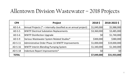#### Allentown Division Wastewater – 2018 Projects

| CP#          | Project                                                             | 2018\$           | 2018-2022\$  |
|--------------|---------------------------------------------------------------------|------------------|--------------|
| $AD-S-A$     | Annual Projects ( $* =$ internally classified as an annual project) | \$1,049,000      | \$5,988,000  |
| $AD-S-5$     | <b>WWTP Electrical Substation Replacements</b>                      | \$3,360,000      | \$3,485,000  |
| $AD-S-6$     | <b>WWTP Disinfection Upgrade</b>                                    | 50 <sub>l</sub>  | \$1,740,000  |
| $AD-S-9$     | Various Wastewater System Related Studies*                          | \$300,000        | \$380,000    |
| AD-S-11      | Administrative Order Phase 1A WWTP Improvements                     | \$1,000,000      | \$19,000,000 |
| $AD-S-16$    | <b>WWTP Interim Blending Pumping System</b>                         | \$1,340,000      | \$1,340,000  |
| $AD-S-18$    | Indenture Report Improvements*                                      | \$0 <sub>l</sub> | 50           |
| <b>TOTAL</b> |                                                                     | \$7,049,000      | \$31,933,000 |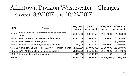#### Allentown Division Wastewater – Changes between 8/9/2017 and 10/23/2017

| CP#          | Project                                                                 | 8/9/2017<br>2018\$ | 8/9/2017<br>2018-2022\$ | 10/23/2017<br>2018\$ | 10/23/2017<br>2018-2022\$ |
|--------------|-------------------------------------------------------------------------|--------------------|-------------------------|----------------------|---------------------------|
| AD-S-A       | Annual Projects ( $* =$ internally classified as an annual<br> project) | \$2,065,000        | \$8,147,500             | \$1,049,000          | \$5,988,000               |
| $AD-S-5$     | <b>WWTP Electrical Substation Replacements</b>                          | \$3,360,000        | \$3,485,000             | \$3,360,000          | \$3,485,000               |
| $AD-S-6$     | <b>WWTP Disinfection Upgrade</b>                                        | \$0                | \$1,740,000             | 50 <sub>l</sub>      | \$1,740,000               |
| $AD-S-9$     | Various Wastewater System Related Studies*                              | \$350,000          | \$470,000               | \$300,000            | \$380,000                 |
| $AD-S-11$    | Administrative Order Phase 1A WWTP Improvements                         | \$1,000,000        | \$19,000,000            | \$1,000,000          | \$19,000,000              |
| $AD-S-16$    | WWTP Interim Blending Pumping System                                    | \$1,340,000        | \$1,340,000             | \$1,340,000          | \$1,340,000               |
|              | AD-S-18  Indenture Report Improvements                                  | \$940,000          | \$4,700,000             | 50 <sub>l</sub>      | \$0                       |
| <b>TOTAL</b> |                                                                         | \$9,055,000        | \$38,882,500            |                      | \$7,049,000 \$31,933,000  |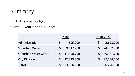#### Summary

- 2018 Capital Budget
- Total 5-Year Capital Budget

|                      | 2018         |              |  | 2018-2022     |
|----------------------|--------------|--------------|--|---------------|
| Administration       | S            | 595,000      |  | 2,628,000     |
| Suburban Water       | $\mathsf{S}$ | 9,117,750    |  | \$24,982,750  |
| Suburban Wastewater  |              | \$11,598,750 |  | \$39,961,750  |
| <b>City Division</b> |              | 12,295,000   |  | \$2,704,000   |
| <b>TOTAL</b>         |              | 33,606,500   |  | \$150,276,500 |